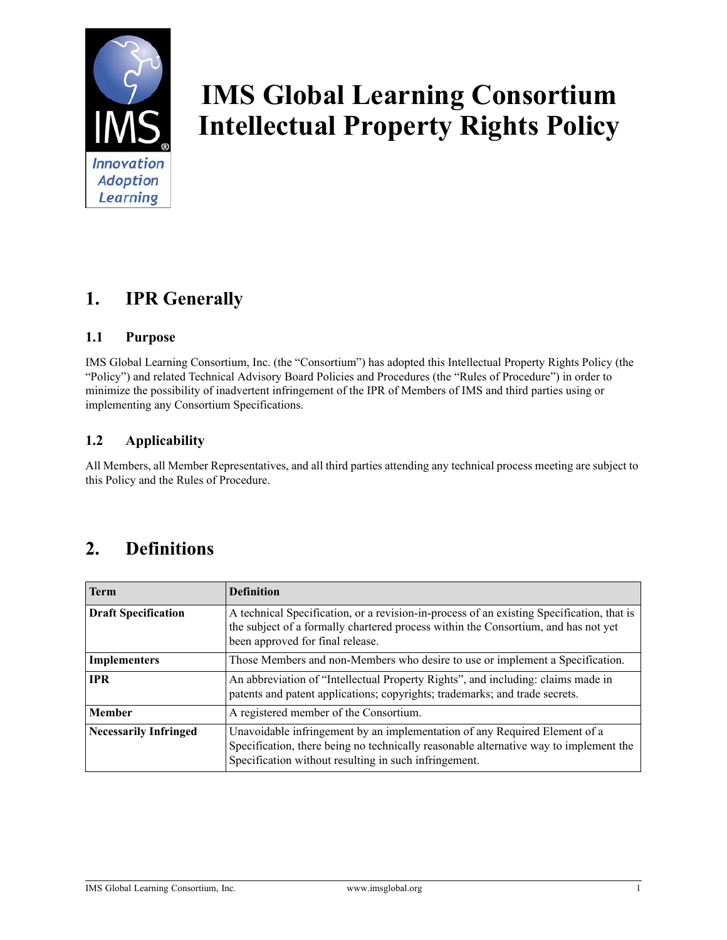

# **IMS Global Learning Consortium Intellectual Property Rights Policy**

# **1. IPR Generally**

### **1.1 Purpose**

IMS Global Learning Consortium, Inc. (the "Consortium") has adopted this Intellectual Property Rights Policy (the "Policy") and related Technical Advisory Board Policies and Procedures (the "Rules of Procedure") in order to minimize the possibility of inadvertent infringement of the IPR of Members of IMS and third parties using or implementing any Consortium Specifications.

### **1.2 Applicability**

All Members, all Member Representatives, and all third parties attending any technical process meeting are subject to this Policy and the Rules of Procedure.

# **2. Definitions**

| <b>Term</b>                  | <b>Definition</b>                                                                                                                                                                                                            |
|------------------------------|------------------------------------------------------------------------------------------------------------------------------------------------------------------------------------------------------------------------------|
| <b>Draft Specification</b>   | A technical Specification, or a revision-in-process of an existing Specification, that is<br>the subject of a formally chartered process within the Consortium, and has not yet<br>been approved for final release.          |
| <b>Implementers</b>          | Those Members and non-Members who desire to use or implement a Specification.                                                                                                                                                |
| <b>IPR</b>                   | An abbreviation of "Intellectual Property Rights", and including: claims made in<br>patents and patent applications; copyrights; trademarks; and trade secrets.                                                              |
| <b>Member</b>                | A registered member of the Consortium.                                                                                                                                                                                       |
| <b>Necessarily Infringed</b> | Unavoidable infringement by an implementation of any Required Element of a<br>Specification, there being no technically reasonable alternative way to implement the<br>Specification without resulting in such infringement. |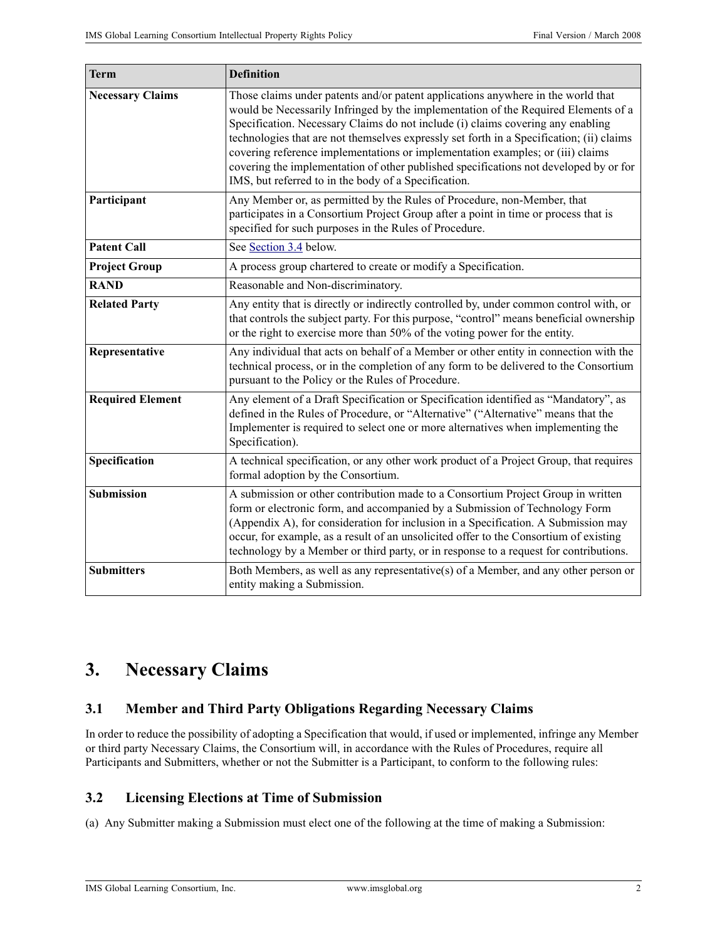| <b>Term</b>             | <b>Definition</b>                                                                                                                                                                                                                                                                                                                                                                                                                                                                                                                                                                        |
|-------------------------|------------------------------------------------------------------------------------------------------------------------------------------------------------------------------------------------------------------------------------------------------------------------------------------------------------------------------------------------------------------------------------------------------------------------------------------------------------------------------------------------------------------------------------------------------------------------------------------|
| <b>Necessary Claims</b> | Those claims under patents and/or patent applications anywhere in the world that<br>would be Necessarily Infringed by the implementation of the Required Elements of a<br>Specification. Necessary Claims do not include (i) claims covering any enabling<br>technologies that are not themselves expressly set forth in a Specification; (ii) claims<br>covering reference implementations or implementation examples; or (iii) claims<br>covering the implementation of other published specifications not developed by or for<br>IMS, but referred to in the body of a Specification. |
| Participant             | Any Member or, as permitted by the Rules of Procedure, non-Member, that<br>participates in a Consortium Project Group after a point in time or process that is<br>specified for such purposes in the Rules of Procedure.                                                                                                                                                                                                                                                                                                                                                                 |
| <b>Patent Call</b>      | See Section 3.4 below.                                                                                                                                                                                                                                                                                                                                                                                                                                                                                                                                                                   |
| <b>Project Group</b>    | A process group chartered to create or modify a Specification.                                                                                                                                                                                                                                                                                                                                                                                                                                                                                                                           |
| <b>RAND</b>             | Reasonable and Non-discriminatory.                                                                                                                                                                                                                                                                                                                                                                                                                                                                                                                                                       |
| <b>Related Party</b>    | Any entity that is directly or indirectly controlled by, under common control with, or<br>that controls the subject party. For this purpose, "control" means beneficial ownership<br>or the right to exercise more than 50% of the voting power for the entity.                                                                                                                                                                                                                                                                                                                          |
| Representative          | Any individual that acts on behalf of a Member or other entity in connection with the<br>technical process, or in the completion of any form to be delivered to the Consortium<br>pursuant to the Policy or the Rules of Procedure.                                                                                                                                                                                                                                                                                                                                                      |
| <b>Required Element</b> | Any element of a Draft Specification or Specification identified as "Mandatory", as<br>defined in the Rules of Procedure, or "Alternative" ("Alternative" means that the<br>Implementer is required to select one or more alternatives when implementing the<br>Specification).                                                                                                                                                                                                                                                                                                          |
| Specification           | A technical specification, or any other work product of a Project Group, that requires<br>formal adoption by the Consortium.                                                                                                                                                                                                                                                                                                                                                                                                                                                             |
| <b>Submission</b>       | A submission or other contribution made to a Consortium Project Group in written<br>form or electronic form, and accompanied by a Submission of Technology Form<br>(Appendix A), for consideration for inclusion in a Specification. A Submission may<br>occur, for example, as a result of an unsolicited offer to the Consortium of existing<br>technology by a Member or third party, or in response to a request for contributions.                                                                                                                                                  |
| <b>Submitters</b>       | Both Members, as well as any representative(s) of a Member, and any other person or<br>entity making a Submission.                                                                                                                                                                                                                                                                                                                                                                                                                                                                       |

# **3. Necessary Claims**

### **3.1 Member and Third Party Obligations Regarding Necessary Claims**

In order to reduce the possibility of adopting a Specification that would, if used or implemented, infringe any Member or third party Necessary Claims, the Consortium will, in accordance with the Rules of Procedures, require all Participants and Submitters, whether or not the Submitter is a Participant, to conform to the following rules:

### <span id="page-1-0"></span>**3.2 Licensing Elections at Time of Submission**

(a) Any Submitter making a Submission must elect one of the following at the time of making a Submission:

IMS Global Learning Consortium, Inc. www.imsglobal.org 2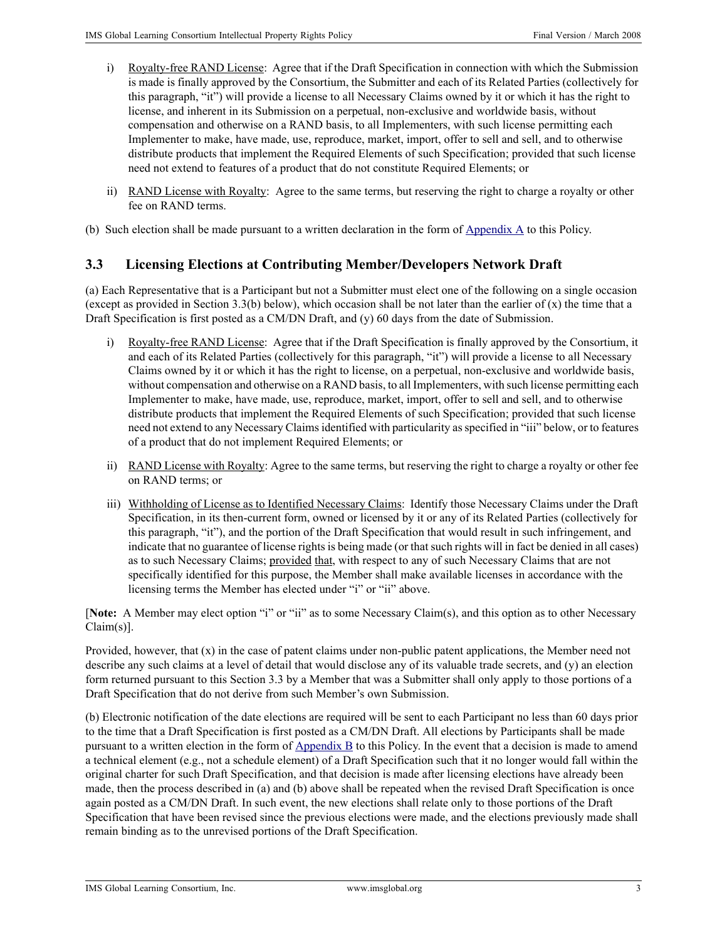- i) Royalty-free RAND License: Agree that if the Draft Specification in connection with which the Submission is made is finally approved by the Consortium, the Submitter and each of its Related Parties (collectively for this paragraph, "it") will provide a license to all Necessary Claims owned by it or which it has the right to license, and inherent in its Submission on a perpetual, non-exclusive and worldwide basis, without compensation and otherwise on a RAND basis, to all Implementers, with such license permitting each Implementer to make, have made, use, reproduce, market, import, offer to sell and sell, and to otherwise distribute products that implement the Required Elements of such Specification; provided that such license need not extend to features of a product that do not constitute Required Elements; or
- ii) RAND License with Royalty: Agree to the same terms, but reserving the right to charge a royalty or other fee on RAND terms.

(b) Such election shall be made pursuant to a written declaration in the form of  $\Delta$ ppendix  $\Delta$  to this Policy.

### <span id="page-2-0"></span>**3.3 Licensing Elections at Contributing Member/Developers Network Draft**

(a) Each Representative that is a Participant but not a Submitter must elect one of the following on a single occasion (except as provided in Section 3.3(b) below), which occasion shall be not later than the earlier of  $(x)$  the time that a Draft Specification is first posted as a CM/DN Draft, and (y) 60 days from the date of Submission.

- i) Royalty-free RAND License: Agree that if the Draft Specification is finally approved by the Consortium, it and each of its Related Parties (collectively for this paragraph, "it") will provide a license to all Necessary Claims owned by it or which it has the right to license, on a perpetual, non-exclusive and worldwide basis, without compensation and otherwise on a RAND basis, to all Implementers, with such license permitting each Implementer to make, have made, use, reproduce, market, import, offer to sell and sell, and to otherwise distribute products that implement the Required Elements of such Specification; provided that such license need not extend to any Necessary Claims identified with particularity as specified in "iii" below, or to features of a product that do not implement Required Elements; or
- ii) RAND License with Royalty: Agree to the same terms, but reserving the right to charge a royalty or other fee on RAND terms; or
- iii) Withholding of License as to Identified Necessary Claims: Identify those Necessary Claims under the Draft Specification, in its then-current form, owned or licensed by it or any of its Related Parties (collectively for this paragraph, "it"), and the portion of the Draft Specification that would result in such infringement, and indicate that no guarantee of license rights is being made (or that such rights will in fact be denied in all cases) as to such Necessary Claims; provided that, with respect to any of such Necessary Claims that are not specifically identified for this purpose, the Member shall make available licenses in accordance with the licensing terms the Member has elected under "i" or "ii" above.

[**Note:** A Member may elect option "i" or "ii" as to some Necessary Claim(s), and this option as to other Necessary Claim(s)].

Provided, however, that (x) in the case of patent claims under non-public patent applications, the Member need not describe any such claims at a level of detail that would disclose any of its valuable trade secrets, and (y) an election form returned pursuant to this Section 3.3 by a Member that was a Submitter shall only apply to those portions of a Draft Specification that do not derive from such Member's own Submission.

(b) Electronic notification of the date elections are required will be sent to each Participant no less than 60 days prior to the time that a Draft Specification is first posted as a CM/DN Draft. All elections by Participants shall be made pursuant to a written election in the form of [Appendix B](#page-9-0) to this Policy. In the event that a decision is made to amend a technical element (e.g., not a schedule element) of a Draft Specification such that it no longer would fall within the original charter for such Draft Specification, and that decision is made after licensing elections have already been made, then the process described in (a) and (b) above shall be repeated when the revised Draft Specification is once again posted as a CM/DN Draft. In such event, the new elections shall relate only to those portions of the Draft Specification that have been revised since the previous elections were made, and the elections previously made shall remain binding as to the unrevised portions of the Draft Specification.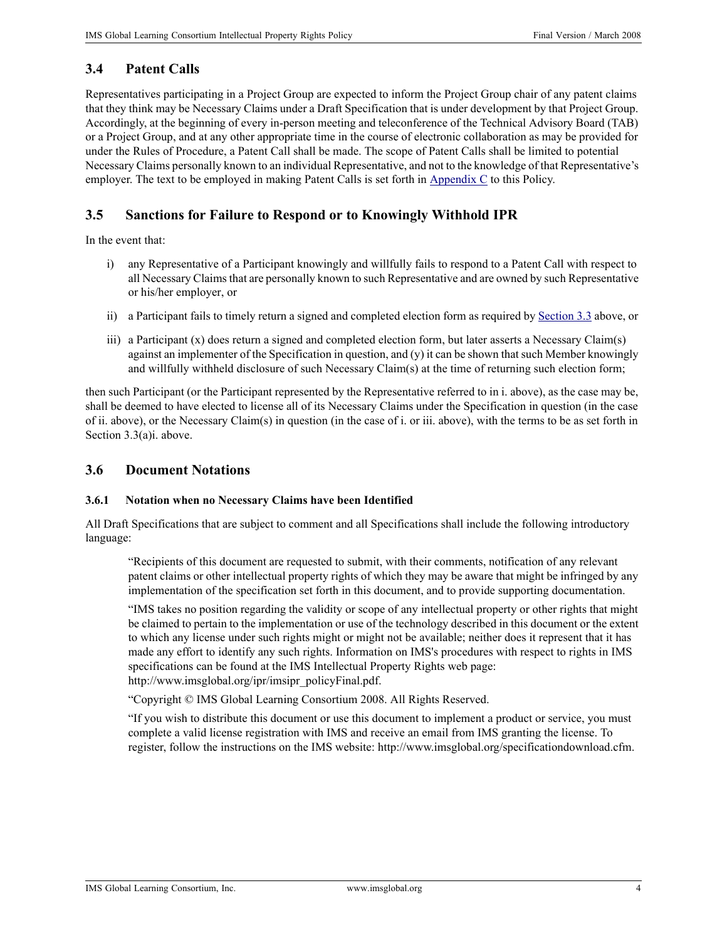### <span id="page-3-0"></span>**3.4 Patent Calls**

Representatives participating in a Project Group are expected to inform the Project Group chair of any patent claims that they think may be Necessary Claims under a Draft Specification that is under development by that Project Group. Accordingly, at the beginning of every in-person meeting and teleconference of the Technical Advisory Board (TAB) or a Project Group, and at any other appropriate time in the course of electronic collaboration as may be provided for under the Rules of Procedure, a Patent Call shall be made. The scope of Patent Calls shall be limited to potential Necessary Claims personally known to an individual Representative, and not to the knowledge of that Representative's employer. The text to be employed in making Patent Calls is set forth in [Appendix C](#page-12-0) to this Policy.

### <span id="page-3-1"></span>**3.5 Sanctions for Failure to Respond or to Knowingly Withhold IPR**

In the event that:

- i) any Representative of a Participant knowingly and willfully fails to respond to a Patent Call with respect to all Necessary Claims that are personally known to such Representative and are owned by such Representative or his/her employer, or
- ii) a Participant fails to timely return a signed and completed election form as required by [Section](#page-2-0) 3.3 above, or
- iii) a Participant (x) does return a signed and completed election form, but later asserts a Necessary Claim(s) against an implementer of the Specification in question, and  $(y)$  it can be shown that such Member knowingly and willfully withheld disclosure of such Necessary Claim(s) at the time of returning such election form;

then such Participant (or the Participant represented by the Representative referred to in i. above), as the case may be, shall be deemed to have elected to license all of its Necessary Claims under the Specification in question (in the case of ii. above), or the Necessary Claim(s) in question (in the case of i. or iii. above), with the terms to be as set forth in Section 3.3(a)i. above.

#### **3.6 Document Notations**

#### **3.6.1 Notation when no Necessary Claims have been Identified**

All Draft Specifications that are subject to comment and all Specifications shall include the following introductory language:

"Recipients of this document are requested to submit, with their comments, notification of any relevant patent claims or other intellectual property rights of which they may be aware that might be infringed by any implementation of the specification set forth in this document, and to provide supporting documentation.

"IMS takes no position regarding the validity or scope of any intellectual property or other rights that might be claimed to pertain to the implementation or use of the technology described in this document or the extent to which any license under such rights might or might not be available; neither does it represent that it has made any effort to identify any such rights. Information on IMS's procedures with respect to rights in IMS specifications can be found at the IMS Intellectual Property Rights web page: http://www.imsglobal.org/ipr/imsipr\_policyFinal.pdf.

"Copyright © IMS Global Learning Consortium 2008. All Rights Reserved.

"If you wish to distribute this document or use this document to implement a product or service, you must complete a valid license registration with IMS and receive an email from IMS granting the license. To register, follow the instructions on the IMS website: http://www.imsglobal.org/specificationdownload.cfm.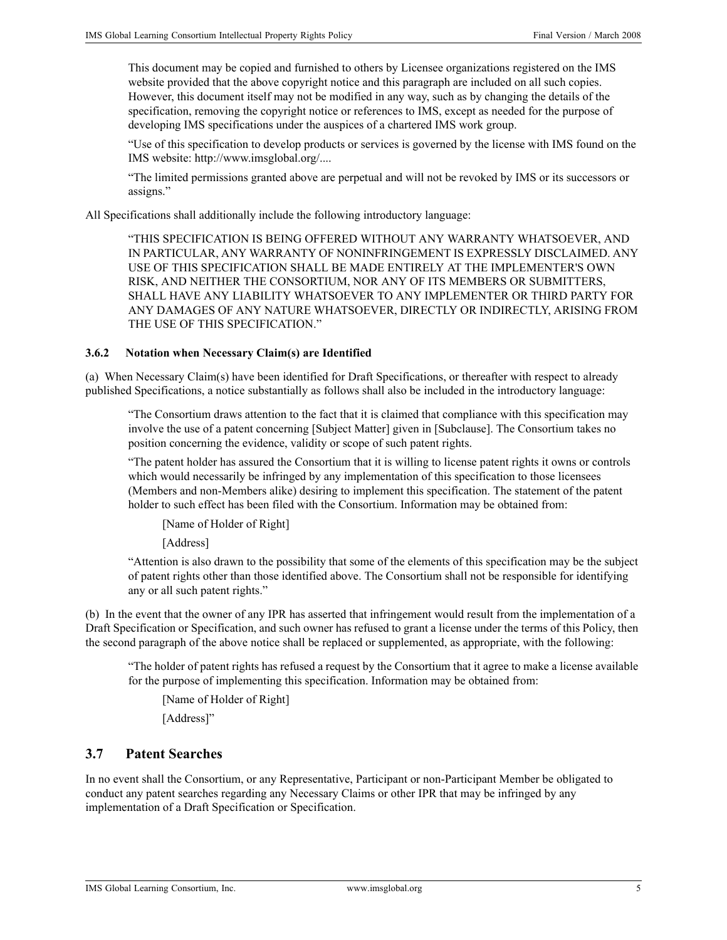This document may be copied and furnished to others by Licensee organizations registered on the IMS website provided that the above copyright notice and this paragraph are included on all such copies. However, this document itself may not be modified in any way, such as by changing the details of the specification, removing the copyright notice or references to IMS, except as needed for the purpose of developing IMS specifications under the auspices of a chartered IMS work group.

"Use of this specification to develop products or services is governed by the license with IMS found on the IMS website: http://www.imsglobal.org/....

"The limited permissions granted above are perpetual and will not be revoked by IMS or its successors or assigns."

All Specifications shall additionally include the following introductory language:

"THIS SPECIFICATION IS BEING OFFERED WITHOUT ANY WARRANTY WHATSOEVER, AND IN PARTICULAR, ANY WARRANTY OF NONINFRINGEMENT IS EXPRESSLY DISCLAIMED. ANY USE OF THIS SPECIFICATION SHALL BE MADE ENTIRELY AT THE IMPLEMENTER'S OWN RISK, AND NEITHER THE CONSORTIUM, NOR ANY OF ITS MEMBERS OR SUBMITTERS, SHALL HAVE ANY LIABILITY WHATSOEVER TO ANY IMPLEMENTER OR THIRD PARTY FOR ANY DAMAGES OF ANY NATURE WHATSOEVER, DIRECTLY OR INDIRECTLY, ARISING FROM THE USE OF THIS SPECIFICATION."

#### **3.6.2 Notation when Necessary Claim(s) are Identified**

(a) When Necessary Claim(s) have been identified for Draft Specifications, or thereafter with respect to already published Specifications, a notice substantially as follows shall also be included in the introductory language:

"The Consortium draws attention to the fact that it is claimed that compliance with this specification may involve the use of a patent concerning [Subject Matter] given in [Subclause]. The Consortium takes no position concerning the evidence, validity or scope of such patent rights.

"The patent holder has assured the Consortium that it is willing to license patent rights it owns or controls which would necessarily be infringed by any implementation of this specification to those licensees (Members and non-Members alike) desiring to implement this specification. The statement of the patent holder to such effect has been filed with the Consortium. Information may be obtained from:

[Name of Holder of Right]

[Address]

"Attention is also drawn to the possibility that some of the elements of this specification may be the subject of patent rights other than those identified above. The Consortium shall not be responsible for identifying any or all such patent rights."

(b) In the event that the owner of any IPR has asserted that infringement would result from the implementation of a Draft Specification or Specification, and such owner has refused to grant a license under the terms of this Policy, then the second paragraph of the above notice shall be replaced or supplemented, as appropriate, with the following:

"The holder of patent rights has refused a request by the Consortium that it agree to make a license available for the purpose of implementing this specification. Information may be obtained from:

[Name of Holder of Right]

[Address]"

#### **3.7 Patent Searches**

In no event shall the Consortium, or any Representative, Participant or non-Participant Member be obligated to conduct any patent searches regarding any Necessary Claims or other IPR that may be infringed by any implementation of a Draft Specification or Specification.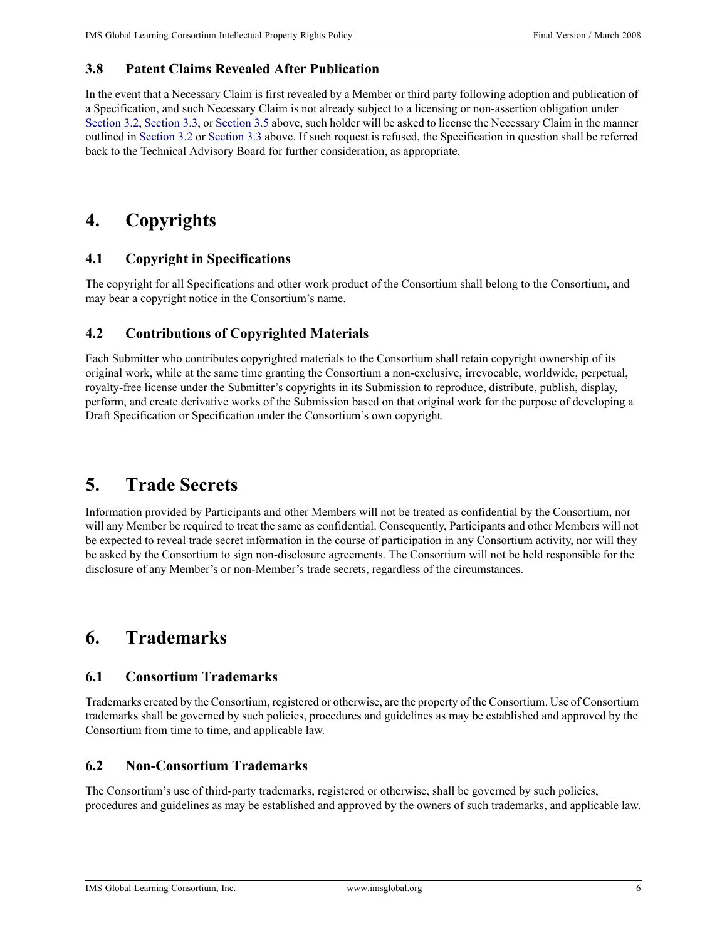### **3.8 Patent Claims Revealed After Publication**

In the event that a Necessary Claim is first revealed by a Member or third party following adoption and publication of a Specification, and such Necessary Claim is not already subject to a licensing or non-assertion obligation under [Section](#page-2-0) 3.2, [Section](#page-3-1) 3.3, or Section 3.5 above, such holder will be asked to license the Necessary Claim in the manner outlined in [Section](#page-1-0) 3.2 or [Section](#page-2-0) 3.3 above. If such request is refused, the Specification in question shall be referred back to the Technical Advisory Board for further consideration, as appropriate.

# **4. Copyrights**

### **4.1 Copyright in Specifications**

The copyright for all Specifications and other work product of the Consortium shall belong to the Consortium, and may bear a copyright notice in the Consortium's name.

### **4.2 Contributions of Copyrighted Materials**

Each Submitter who contributes copyrighted materials to the Consortium shall retain copyright ownership of its original work, while at the same time granting the Consortium a non-exclusive, irrevocable, worldwide, perpetual, royalty-free license under the Submitter's copyrights in its Submission to reproduce, distribute, publish, display, perform, and create derivative works of the Submission based on that original work for the purpose of developing a Draft Specification or Specification under the Consortium's own copyright.

# **5. Trade Secrets**

Information provided by Participants and other Members will not be treated as confidential by the Consortium, nor will any Member be required to treat the same as confidential. Consequently, Participants and other Members will not be expected to reveal trade secret information in the course of participation in any Consortium activity, nor will they be asked by the Consortium to sign non-disclosure agreements. The Consortium will not be held responsible for the disclosure of any Member's or non-Member's trade secrets, regardless of the circumstances.

# **6. Trademarks**

### **6.1 Consortium Trademarks**

Trademarks created by the Consortium, registered or otherwise, are the property of the Consortium. Use of Consortium trademarks shall be governed by such policies, procedures and guidelines as may be established and approved by the Consortium from time to time, and applicable law.

### **6.2 Non-Consortium Trademarks**

The Consortium's use of third-party trademarks, registered or otherwise, shall be governed by such policies, procedures and guidelines as may be established and approved by the owners of such trademarks, and applicable law.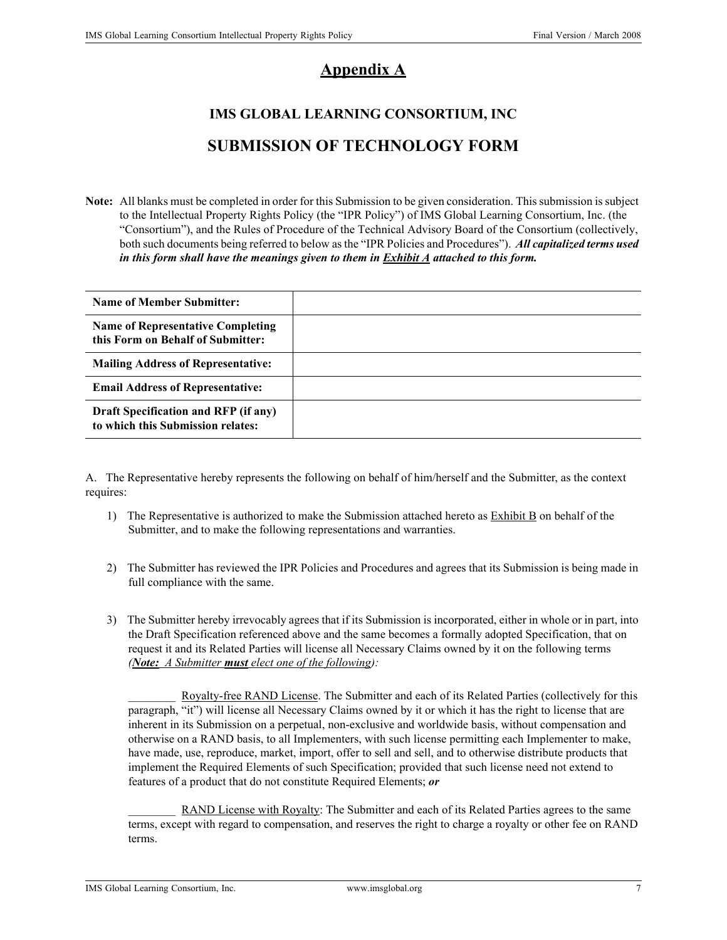### **Appendix A**

# <span id="page-6-0"></span>**IMS GLOBAL LEARNING CONSORTIUM, INC SUBMISSION OF TECHNOLOGY FORM**

**Note:** All blanks must be completed in order for this Submission to be given consideration. This submission is subject to the Intellectual Property Rights Policy (the "IPR Policy") of IMS Global Learning Consortium, Inc. (the "Consortium"), and the Rules of Procedure of the Technical Advisory Board of the Consortium (collectively, both such documents being referred to below as the "IPR Policies and Procedures"). *All capitalized terms used in this form shall have the meanings given to them in Exhibit A attached to this form.*

| <b>Name of Member Submitter:</b>                                                 |  |
|----------------------------------------------------------------------------------|--|
| <b>Name of Representative Completing</b><br>this Form on Behalf of Submitter:    |  |
| <b>Mailing Address of Representative:</b>                                        |  |
| <b>Email Address of Representative:</b>                                          |  |
| <b>Draft Specification and RFP (if any)</b><br>to which this Submission relates: |  |

A. The Representative hereby represents the following on behalf of him/herself and the Submitter, as the context requires:

- 1) The Representative is authorized to make the Submission attached hereto as  $\overline{\text{Exhibit B}}$  on behalf of the Submitter, and to make the following representations and warranties.
- 2) The Submitter has reviewed the IPR Policies and Procedures and agrees that its Submission is being made in full compliance with the same.
- 3) The Submitter hereby irrevocably agrees that if its Submission is incorporated, either in whole or in part, into the Draft Specification referenced above and the same becomes a formally adopted Specification, that on request it and its Related Parties will license all Necessary Claims owned by it on the following terms *(Note: A Submitter must elect one of the following):*

Royalty-free RAND License. The Submitter and each of its Related Parties (collectively for this paragraph, "it") will license all Necessary Claims owned by it or which it has the right to license that are inherent in its Submission on a perpetual, non-exclusive and worldwide basis, without compensation and otherwise on a RAND basis, to all Implementers, with such license permitting each Implementer to make, have made, use, reproduce, market, import, offer to sell and sell, and to otherwise distribute products that implement the Required Elements of such Specification; provided that such license need not extend to features of a product that do not constitute Required Elements; *or* 

RAND License with Royalty: The Submitter and each of its Related Parties agrees to the same terms, except with regard to compensation, and reserves the right to charge a royalty or other fee on RAND terms.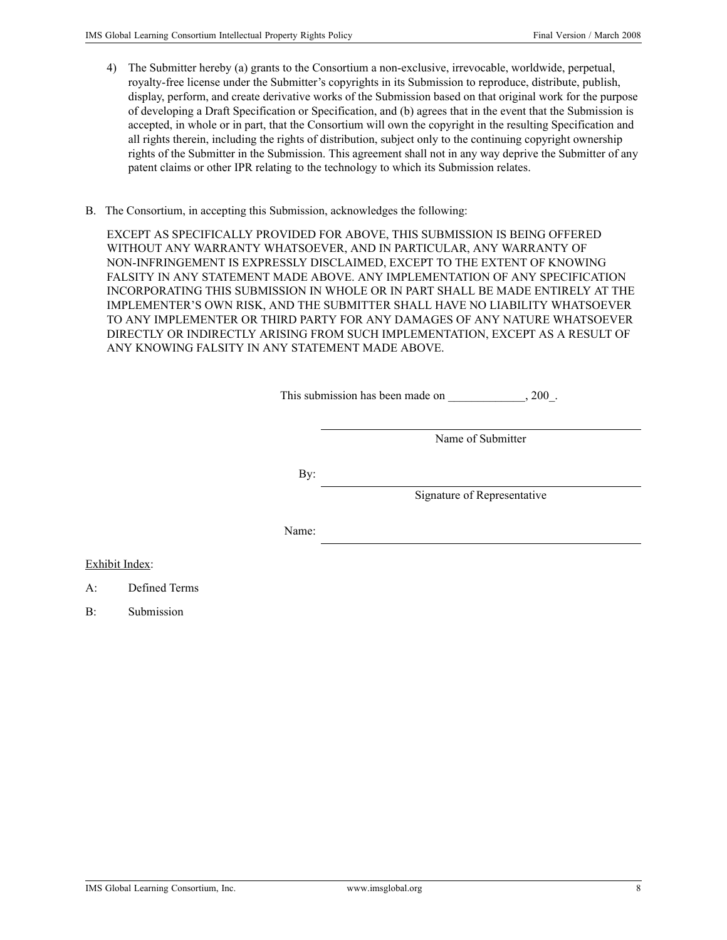- 4) The Submitter hereby (a) grants to the Consortium a non-exclusive, irrevocable, worldwide, perpetual, royalty-free license under the Submitter's copyrights in its Submission to reproduce, distribute, publish, display, perform, and create derivative works of the Submission based on that original work for the purpose of developing a Draft Specification or Specification, and (b) agrees that in the event that the Submission is accepted, in whole or in part, that the Consortium will own the copyright in the resulting Specification and all rights therein, including the rights of distribution, subject only to the continuing copyright ownership rights of the Submitter in the Submission. This agreement shall not in any way deprive the Submitter of any patent claims or other IPR relating to the technology to which its Submission relates.
- B. The Consortium, in accepting this Submission, acknowledges the following:

EXCEPT AS SPECIFICALLY PROVIDED FOR ABOVE, THIS SUBMISSION IS BEING OFFERED WITHOUT ANY WARRANTY WHATSOEVER, AND IN PARTICULAR, ANY WARRANTY OF NON-INFRINGEMENT IS EXPRESSLY DISCLAIMED, EXCEPT TO THE EXTENT OF KNOWING FALSITY IN ANY STATEMENT MADE ABOVE. ANY IMPLEMENTATION OF ANY SPECIFICATION INCORPORATING THIS SUBMISSION IN WHOLE OR IN PART SHALL BE MADE ENTIRELY AT THE IMPLEMENTER'S OWN RISK, AND THE SUBMITTER SHALL HAVE NO LIABILITY WHATSOEVER TO ANY IMPLEMENTER OR THIRD PARTY FOR ANY DAMAGES OF ANY NATURE WHATSOEVER DIRECTLY OR INDIRECTLY ARISING FROM SUCH IMPLEMENTATION, EXCEPT AS A RESULT OF ANY KNOWING FALSITY IN ANY STATEMENT MADE ABOVE.

| This submission has been made on | .200 |
|----------------------------------|------|
|----------------------------------|------|

Name of Submitter

By:

Signature of Representative

Name:

Exhibit Index:

- A: Defined Terms
- B: Submission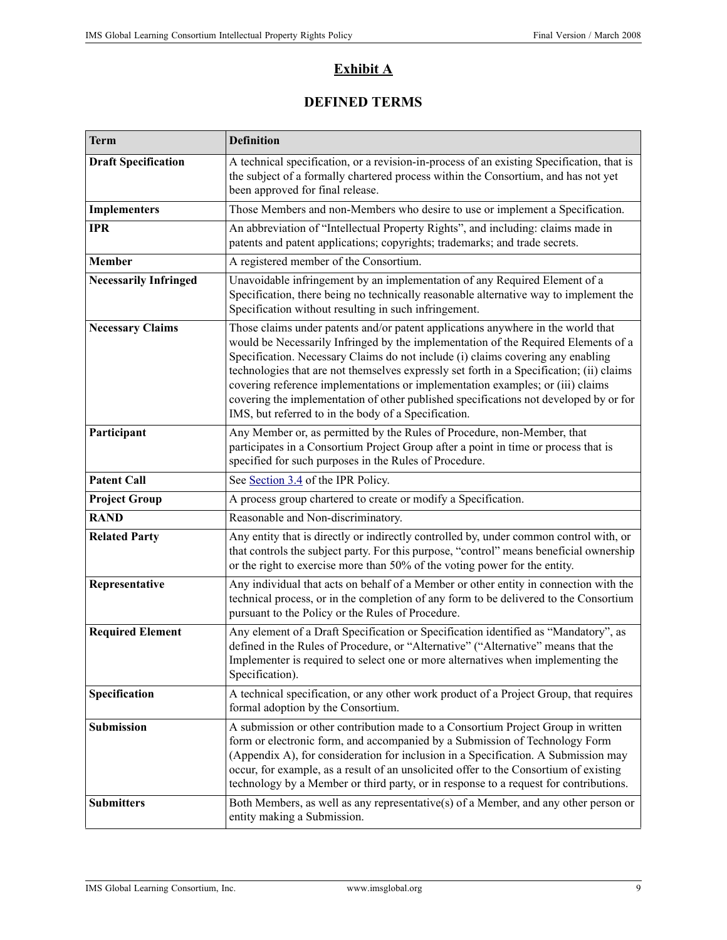### **Exhibit A**

### **DEFINED TERMS**

| <b>Term</b>                  | <b>Definition</b>                                                                                                                                                                                                                                                                                                                                                                                                                                                                                                                                                                        |  |
|------------------------------|------------------------------------------------------------------------------------------------------------------------------------------------------------------------------------------------------------------------------------------------------------------------------------------------------------------------------------------------------------------------------------------------------------------------------------------------------------------------------------------------------------------------------------------------------------------------------------------|--|
| <b>Draft Specification</b>   | A technical specification, or a revision-in-process of an existing Specification, that is<br>the subject of a formally chartered process within the Consortium, and has not yet<br>been approved for final release.                                                                                                                                                                                                                                                                                                                                                                      |  |
| <b>Implementers</b>          | Those Members and non-Members who desire to use or implement a Specification.                                                                                                                                                                                                                                                                                                                                                                                                                                                                                                            |  |
| <b>IPR</b>                   | An abbreviation of "Intellectual Property Rights", and including: claims made in<br>patents and patent applications; copyrights; trademarks; and trade secrets.                                                                                                                                                                                                                                                                                                                                                                                                                          |  |
| Member                       | A registered member of the Consortium.                                                                                                                                                                                                                                                                                                                                                                                                                                                                                                                                                   |  |
| <b>Necessarily Infringed</b> | Unavoidable infringement by an implementation of any Required Element of a<br>Specification, there being no technically reasonable alternative way to implement the<br>Specification without resulting in such infringement.                                                                                                                                                                                                                                                                                                                                                             |  |
| <b>Necessary Claims</b>      | Those claims under patents and/or patent applications anywhere in the world that<br>would be Necessarily Infringed by the implementation of the Required Elements of a<br>Specification. Necessary Claims do not include (i) claims covering any enabling<br>technologies that are not themselves expressly set forth in a Specification; (ii) claims<br>covering reference implementations or implementation examples; or (iii) claims<br>covering the implementation of other published specifications not developed by or for<br>IMS, but referred to in the body of a Specification. |  |
| Participant                  | Any Member or, as permitted by the Rules of Procedure, non-Member, that<br>participates in a Consortium Project Group after a point in time or process that is<br>specified for such purposes in the Rules of Procedure.                                                                                                                                                                                                                                                                                                                                                                 |  |
| <b>Patent Call</b>           | See Section 3.4 of the IPR Policy.                                                                                                                                                                                                                                                                                                                                                                                                                                                                                                                                                       |  |
| <b>Project Group</b>         | A process group chartered to create or modify a Specification.                                                                                                                                                                                                                                                                                                                                                                                                                                                                                                                           |  |
| <b>RAND</b>                  | Reasonable and Non-discriminatory.                                                                                                                                                                                                                                                                                                                                                                                                                                                                                                                                                       |  |
| <b>Related Party</b>         | Any entity that is directly or indirectly controlled by, under common control with, or<br>that controls the subject party. For this purpose, "control" means beneficial ownership<br>or the right to exercise more than 50% of the voting power for the entity.                                                                                                                                                                                                                                                                                                                          |  |
| Representative               | Any individual that acts on behalf of a Member or other entity in connection with the<br>technical process, or in the completion of any form to be delivered to the Consortium<br>pursuant to the Policy or the Rules of Procedure.                                                                                                                                                                                                                                                                                                                                                      |  |
| <b>Required Element</b>      | Any element of a Draft Specification or Specification identified as "Mandatory", as<br>defined in the Rules of Procedure, or "Alternative" ("Alternative" means that the<br>Implementer is required to select one or more alternatives when implementing the<br>Specification).                                                                                                                                                                                                                                                                                                          |  |
| Specification                | A technical specification, or any other work product of a Project Group, that requires<br>formal adoption by the Consortium.                                                                                                                                                                                                                                                                                                                                                                                                                                                             |  |
| Submission                   | A submission or other contribution made to a Consortium Project Group in written<br>form or electronic form, and accompanied by a Submission of Technology Form<br>(Appendix A), for consideration for inclusion in a Specification. A Submission may<br>occur, for example, as a result of an unsolicited offer to the Consortium of existing<br>technology by a Member or third party, or in response to a request for contributions.                                                                                                                                                  |  |
| <b>Submitters</b>            | Both Members, as well as any representative(s) of a Member, and any other person or<br>entity making a Submission.                                                                                                                                                                                                                                                                                                                                                                                                                                                                       |  |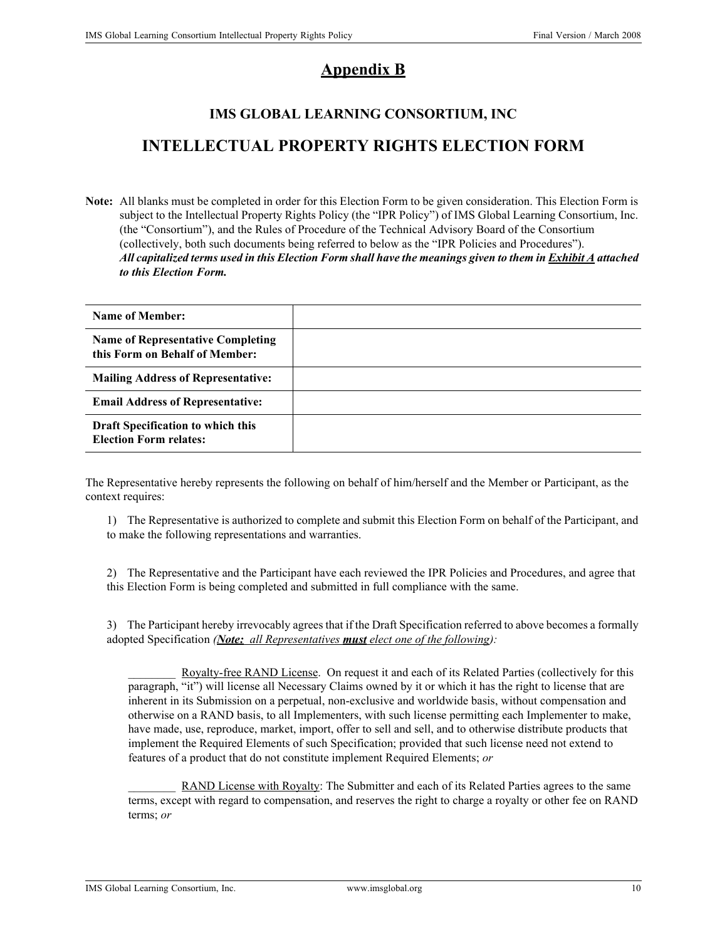## **Appendix B**

### **IMS GLOBAL LEARNING CONSORTIUM, INC**

# <span id="page-9-0"></span>**INTELLECTUAL PROPERTY RIGHTS ELECTION FORM**

**Note:** All blanks must be completed in order for this Election Form to be given consideration. This Election Form is subject to the Intellectual Property Rights Policy (the "IPR Policy") of IMS Global Learning Consortium, Inc. (the "Consortium"), and the Rules of Procedure of the Technical Advisory Board of the Consortium (collectively, both such documents being referred to below as the "IPR Policies and Procedures"). *All capitalized terms used in this Election Form shall have the meanings given to them in Exhibit A attached to this Election Form.*

| Name of Member:                                                            |  |
|----------------------------------------------------------------------------|--|
| <b>Name of Representative Completing</b><br>this Form on Behalf of Member: |  |
| <b>Mailing Address of Representative:</b>                                  |  |
| <b>Email Address of Representative:</b>                                    |  |
| Draft Specification to which this<br><b>Election Form relates:</b>         |  |

The Representative hereby represents the following on behalf of him/herself and the Member or Participant, as the context requires:

1) The Representative is authorized to complete and submit this Election Form on behalf of the Participant, and to make the following representations and warranties.

2) The Representative and the Participant have each reviewed the IPR Policies and Procedures, and agree that this Election Form is being completed and submitted in full compliance with the same.

3) The Participant hereby irrevocably agrees that if the Draft Specification referred to above becomes a formally adopted Specification *(Note: all Representatives must elect one of the following):*

Royalty-free RAND License. On request it and each of its Related Parties (collectively for this paragraph, "it") will license all Necessary Claims owned by it or which it has the right to license that are inherent in its Submission on a perpetual, non-exclusive and worldwide basis, without compensation and otherwise on a RAND basis, to all Implementers, with such license permitting each Implementer to make, have made, use, reproduce, market, import, offer to sell and sell, and to otherwise distribute products that implement the Required Elements of such Specification; provided that such license need not extend to features of a product that do not constitute implement Required Elements; *or* 

RAND License with Royalty: The Submitter and each of its Related Parties agrees to the same terms, except with regard to compensation, and reserves the right to charge a royalty or other fee on RAND terms; *or*

IMS Global Learning Consortium, Inc. www.imsglobal.org 10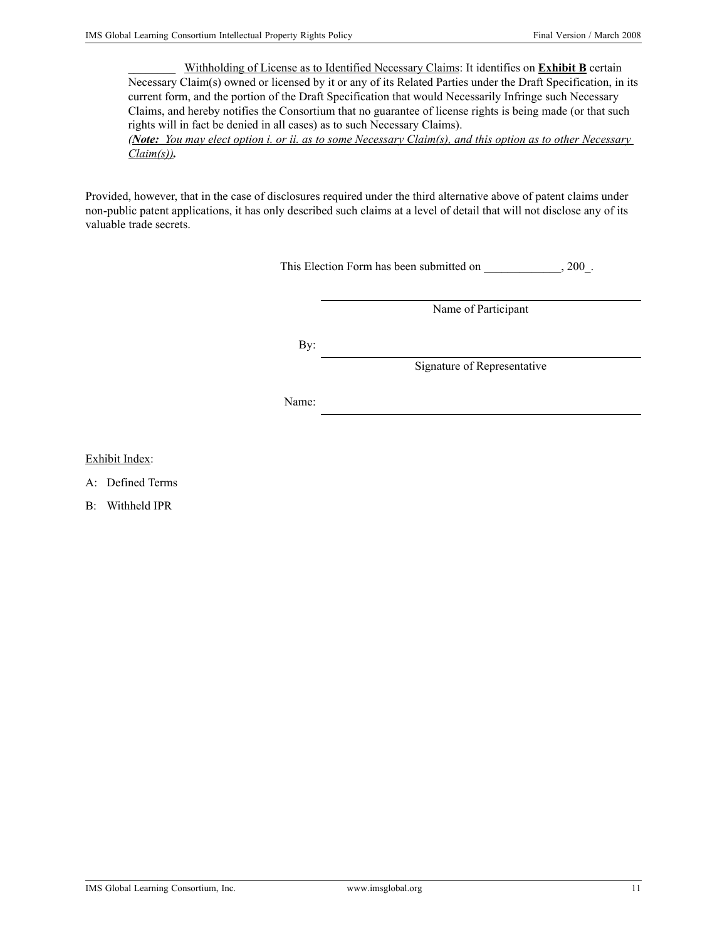\_\_\_\_\_\_\_\_ Withholding of License as to Identified Necessary Claims: It identifies on **Exhibit B** certain Necessary Claim(s) owned or licensed by it or any of its Related Parties under the Draft Specification, in its current form, and the portion of the Draft Specification that would Necessarily Infringe such Necessary Claims, and hereby notifies the Consortium that no guarantee of license rights is being made (or that such rights will in fact be denied in all cases) as to such Necessary Claims).

*(Note: You may elect option i. or ii. as to some Necessary Claim(s), and this option as to other Necessary Claim(s)).*

Provided, however, that in the case of disclosures required under the third alternative above of patent claims under non-public patent applications, it has only described such claims at a level of detail that will not disclose any of its valuable trade secrets.

This Election Form has been submitted on \_\_\_\_\_\_\_\_\_\_\_\_, 200\_.

Name of Participant

By:

Signature of Representative

Name:

Exhibit Index:

A: Defined Terms

B: Withheld IPR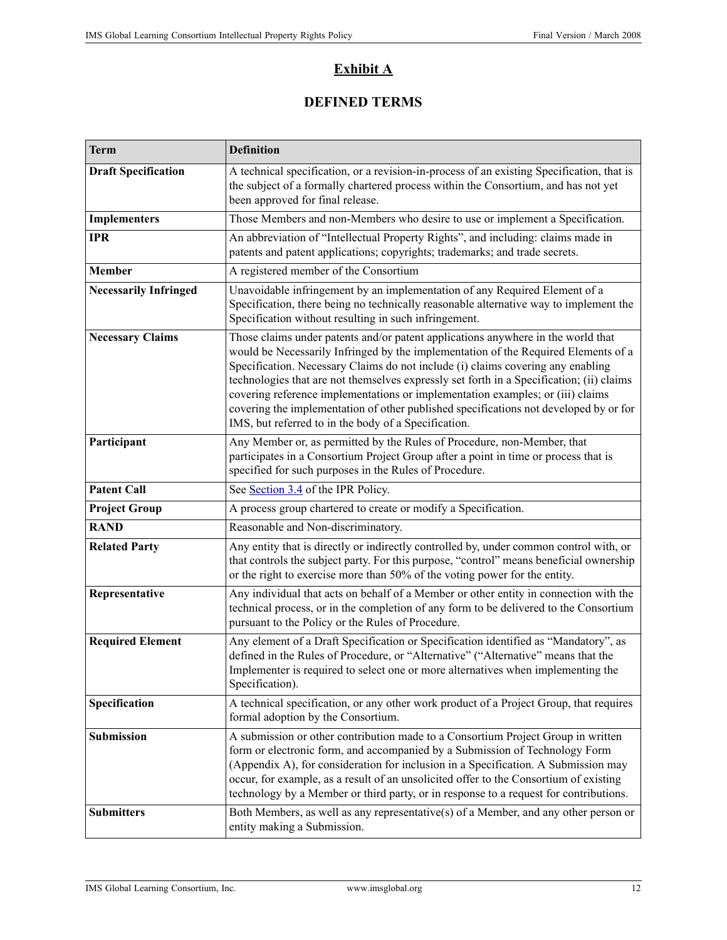### **Exhibit A**

### **DEFINED TERMS**

| <b>Term</b>                  | <b>Definition</b>                                                                                                                                                                                                                                                                                                                                                                                                                                                                                                                                                                        |  |
|------------------------------|------------------------------------------------------------------------------------------------------------------------------------------------------------------------------------------------------------------------------------------------------------------------------------------------------------------------------------------------------------------------------------------------------------------------------------------------------------------------------------------------------------------------------------------------------------------------------------------|--|
| <b>Draft Specification</b>   | A technical specification, or a revision-in-process of an existing Specification, that is<br>the subject of a formally chartered process within the Consortium, and has not yet<br>been approved for final release.                                                                                                                                                                                                                                                                                                                                                                      |  |
| <b>Implementers</b>          | Those Members and non-Members who desire to use or implement a Specification.                                                                                                                                                                                                                                                                                                                                                                                                                                                                                                            |  |
| <b>IPR</b>                   | An abbreviation of "Intellectual Property Rights", and including: claims made in<br>patents and patent applications; copyrights; trademarks; and trade secrets.                                                                                                                                                                                                                                                                                                                                                                                                                          |  |
| Member                       | A registered member of the Consortium                                                                                                                                                                                                                                                                                                                                                                                                                                                                                                                                                    |  |
| <b>Necessarily Infringed</b> | Unavoidable infringement by an implementation of any Required Element of a<br>Specification, there being no technically reasonable alternative way to implement the<br>Specification without resulting in such infringement.                                                                                                                                                                                                                                                                                                                                                             |  |
| <b>Necessary Claims</b>      | Those claims under patents and/or patent applications anywhere in the world that<br>would be Necessarily Infringed by the implementation of the Required Elements of a<br>Specification. Necessary Claims do not include (i) claims covering any enabling<br>technologies that are not themselves expressly set forth in a Specification; (ii) claims<br>covering reference implementations or implementation examples; or (iii) claims<br>covering the implementation of other published specifications not developed by or for<br>IMS, but referred to in the body of a Specification. |  |
| Participant                  | Any Member or, as permitted by the Rules of Procedure, non-Member, that<br>participates in a Consortium Project Group after a point in time or process that is<br>specified for such purposes in the Rules of Procedure.                                                                                                                                                                                                                                                                                                                                                                 |  |
| <b>Patent Call</b>           | See Section 3.4 of the IPR Policy.                                                                                                                                                                                                                                                                                                                                                                                                                                                                                                                                                       |  |
| <b>Project Group</b>         | A process group chartered to create or modify a Specification.                                                                                                                                                                                                                                                                                                                                                                                                                                                                                                                           |  |
| <b>RAND</b>                  | Reasonable and Non-discriminatory.                                                                                                                                                                                                                                                                                                                                                                                                                                                                                                                                                       |  |
| <b>Related Party</b>         | Any entity that is directly or indirectly controlled by, under common control with, or<br>that controls the subject party. For this purpose, "control" means beneficial ownership<br>or the right to exercise more than 50% of the voting power for the entity.                                                                                                                                                                                                                                                                                                                          |  |
| Representative               | Any individual that acts on behalf of a Member or other entity in connection with the<br>technical process, or in the completion of any form to be delivered to the Consortium<br>pursuant to the Policy or the Rules of Procedure.                                                                                                                                                                                                                                                                                                                                                      |  |
| <b>Required Element</b>      | Any element of a Draft Specification or Specification identified as "Mandatory", as<br>defined in the Rules of Procedure, or "Alternative" ("Alternative" means that the<br>Implementer is required to select one or more alternatives when implementing the<br>Specification).                                                                                                                                                                                                                                                                                                          |  |
| Specification                | A technical specification, or any other work product of a Project Group, that requires<br>formal adoption by the Consortium.                                                                                                                                                                                                                                                                                                                                                                                                                                                             |  |
| Submission                   | A submission or other contribution made to a Consortium Project Group in written<br>form or electronic form, and accompanied by a Submission of Technology Form<br>(Appendix A), for consideration for inclusion in a Specification. A Submission may<br>occur, for example, as a result of an unsolicited offer to the Consortium of existing<br>technology by a Member or third party, or in response to a request for contributions.                                                                                                                                                  |  |
| <b>Submitters</b>            | Both Members, as well as any representative(s) of a Member, and any other person or<br>entity making a Submission.                                                                                                                                                                                                                                                                                                                                                                                                                                                                       |  |